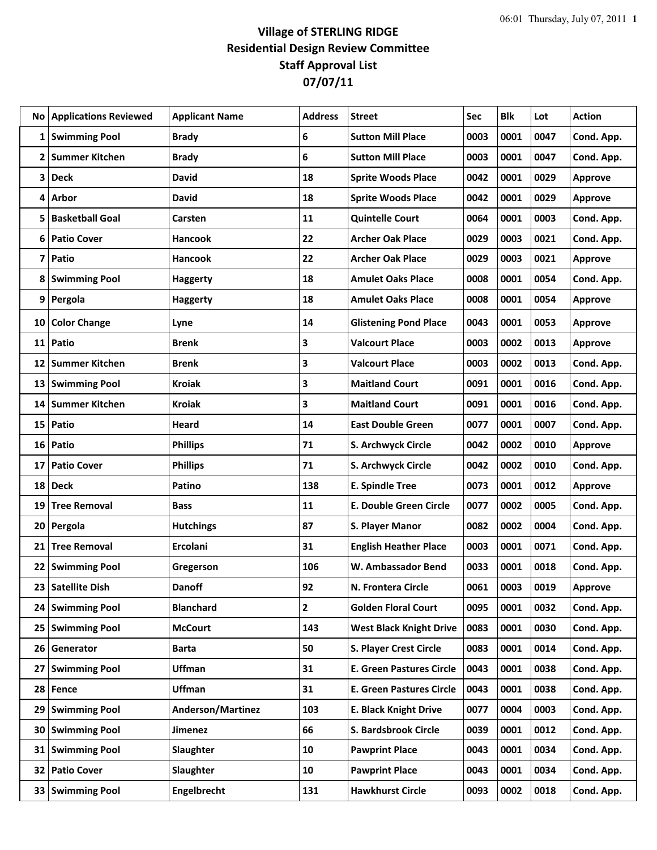## **Village of STERLING RIDGE Residential Design Review Committee Staff Approval List 07/07/11**

| No l           | <b>Applications Reviewed</b> | <b>Applicant Name</b>    | <b>Address</b> | <b>Street</b>                   | Sec  | <b>Blk</b> | Lot  | <b>Action</b>  |
|----------------|------------------------------|--------------------------|----------------|---------------------------------|------|------------|------|----------------|
| 1              | <b>Swimming Pool</b>         | <b>Brady</b>             | 6              | <b>Sutton Mill Place</b>        | 0003 | 0001       | 0047 | Cond. App.     |
| 2              | <b>Summer Kitchen</b>        | <b>Brady</b>             | 6              | <b>Sutton Mill Place</b>        | 0003 | 0001       | 0047 | Cond. App.     |
| 3              | <b>Deck</b>                  | <b>David</b>             | 18             | <b>Sprite Woods Place</b>       | 0042 | 0001       | 0029 | <b>Approve</b> |
| 4              | Arbor                        | <b>David</b>             | 18             | <b>Sprite Woods Place</b>       | 0042 | 0001       | 0029 | <b>Approve</b> |
| 5.             | <b>Basketball Goal</b>       | Carsten                  | 11             | <b>Quintelle Court</b>          | 0064 | 0001       | 0003 | Cond. App.     |
| 6              | <b>Patio Cover</b>           | <b>Hancook</b>           | 22             | <b>Archer Oak Place</b>         | 0029 | 0003       | 0021 | Cond. App.     |
| 7              | Patio                        | <b>Hancook</b>           | 22             | <b>Archer Oak Place</b>         | 0029 | 0003       | 0021 | Approve        |
|                | 8 Swimming Pool              | <b>Haggerty</b>          | 18             | <b>Amulet Oaks Place</b>        | 0008 | 0001       | 0054 | Cond. App.     |
| 9 <sup>1</sup> | Pergola                      | <b>Haggerty</b>          | 18             | <b>Amulet Oaks Place</b>        | 0008 | 0001       | 0054 | <b>Approve</b> |
| 10             | <b>Color Change</b>          | Lyne                     | 14             | <b>Glistening Pond Place</b>    | 0043 | 0001       | 0053 | <b>Approve</b> |
| 11             | Patio                        | <b>Brenk</b>             | 3              | <b>Valcourt Place</b>           | 0003 | 0002       | 0013 | <b>Approve</b> |
| 12             | <b>Summer Kitchen</b>        | <b>Brenk</b>             | 3              | <b>Valcourt Place</b>           | 0003 | 0002       | 0013 | Cond. App.     |
| 13             | <b>Swimming Pool</b>         | <b>Kroiak</b>            | 3              | <b>Maitland Court</b>           | 0091 | 0001       | 0016 | Cond. App.     |
| 14             | <b>Summer Kitchen</b>        | <b>Kroiak</b>            | 3              | <b>Maitland Court</b>           | 0091 | 0001       | 0016 | Cond. App.     |
| 15             | Patio                        | Heard                    | 14             | <b>East Double Green</b>        | 0077 | 0001       | 0007 | Cond. App.     |
| 16             | Patio                        | <b>Phillips</b>          | 71             | S. Archwyck Circle              | 0042 | 0002       | 0010 | <b>Approve</b> |
| 17             | <b>Patio Cover</b>           | <b>Phillips</b>          | 71             | S. Archwyck Circle              | 0042 | 0002       | 0010 | Cond. App.     |
| 18             | <b>Deck</b>                  | Patino                   | 138            | <b>E. Spindle Tree</b>          | 0073 | 0001       | 0012 | <b>Approve</b> |
| 19             | <b>Tree Removal</b>          | <b>Bass</b>              | 11             | <b>E. Double Green Circle</b>   | 0077 | 0002       | 0005 | Cond. App.     |
|                | 20 Pergola                   | <b>Hutchings</b>         | 87             | S. Player Manor                 | 0082 | 0002       | 0004 | Cond. App.     |
| 21             | <b>Tree Removal</b>          | Ercolani                 | 31             | <b>English Heather Place</b>    | 0003 | 0001       | 0071 | Cond. App.     |
| 22             | <b>Swimming Pool</b>         | Gregerson                | 106            | W. Ambassador Bend              | 0033 | 0001       | 0018 | Cond. App.     |
| 23             | <b>Satellite Dish</b>        | <b>Danoff</b>            | 92             | N. Frontera Circle              | 0061 | 0003       | 0019 | <b>Approve</b> |
|                | 24 Swimming Pool             | <b>Blanchard</b>         | $\overline{2}$ | <b>Golden Floral Court</b>      | 0095 | 0001       | 0032 | Cond. App.     |
| 25             | <b>Swimming Pool</b>         | <b>McCourt</b>           | 143            | <b>West Black Knight Drive</b>  | 0083 | 0001       | 0030 | Cond. App.     |
|                | 26 Generator                 | <b>Barta</b>             | 50             | S. Player Crest Circle          | 0083 | 0001       | 0014 | Cond. App.     |
| 27             | <b>Swimming Pool</b>         | Uffman                   | 31             | <b>E. Green Pastures Circle</b> | 0043 | 0001       | 0038 | Cond. App.     |
| 28             | Fence                        | <b>Uffman</b>            | 31             | <b>E. Green Pastures Circle</b> | 0043 | 0001       | 0038 | Cond. App.     |
| 29             | <b>Swimming Pool</b>         | <b>Anderson/Martinez</b> | 103            | <b>E. Black Knight Drive</b>    | 0077 | 0004       | 0003 | Cond. App.     |
| 30             | <b>Swimming Pool</b>         | Jimenez                  | 66             | S. Bardsbrook Circle            | 0039 | 0001       | 0012 | Cond. App.     |
|                | 31 Swimming Pool             | Slaughter                | 10             | <b>Pawprint Place</b>           | 0043 | 0001       | 0034 | Cond. App.     |
| 32             | <b>Patio Cover</b>           | Slaughter                | 10             | <b>Pawprint Place</b>           | 0043 | 0001       | 0034 | Cond. App.     |
|                | 33 Swimming Pool             | Engelbrecht              | 131            | <b>Hawkhurst Circle</b>         | 0093 | 0002       | 0018 | Cond. App.     |